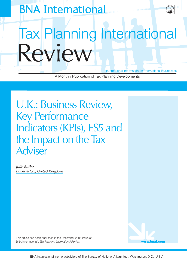## **BNA International**



# **Tax Planning International** Review International Information for International Businesses

A Monthly Publication of Tax Planning Developments

U.K.: Business Review, Key Performance Indicators (KPIs), ES5 and the Impact on the Tax Adviser

*Julie Butler Butler & Co., United Kingdom*



This article has been published in the December 2006 issue of BNA International's *Tax Planning international Review*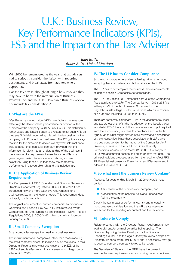### U.K.: Business Review, Key Performance Indicators (KPIs), ES5 and the Impact on the Tax Adviser

*Julie Butler Butler & Co., United Kingdom*

Will 2006 be remembered as the year that tax advisers had to seriously consider the liaison with reporting accountants and break away from auditors where appropriate?

Has the tax adviser thought at length how involved they may have to be with the introduction of Business Reviews, ES5 and the KPIs? How can a Business Review *not* include tax considerations?

#### **I. What are the KPIs?**

"Key Performance Indicators" (KPIs) are factors that measure effectively the development, performance or position of the business of the company, (s234ZZB (5) CA85). This definition is rather vague and leaves it open to directors to set such KPIs as they see fit. Whilst undertaking this task the tax position of the company or LLP cannot be overlooked. The DTI guidance says that it is for the directors to decide exactly what information to include about their particular company provided that the information is relevant to an understanding of the business. In the absence of a requirement to use the same KPIs on a year-by-year basis it leaves scope for abuse, such as selectively using those KPIs that show the company's performance in a favourable light and this includes tax.

#### **II. The Application of Business Review Requirements**

The Companies Act 1985 (Operating and Financial Review and Directors' Report etc) Regulations 2005, SI 2005/1011 has introduced new and more extensive requirements for a business review in the directors' report. This requirement does not apply to all companies.

The original requirement for quoted companies to produce an Operating and Financial Review, OFR, was removed by the Companies Act 1985 (Operating and Financial Review) (Repeal) Regulations 2005, SI 2005/3442, which came into force on January 12, 2006.

#### **III. Small Company Exemption**

2

Small companies escape the need for a business review.

The requirement for all companies, other than those meeting the small company criteria, to include a business review in their Directors' Reports is now set out in section 234ZZB of the 1985 Act and is effective for financial years which begin on or after April 1, 2005.

#### **IV. The LLP has to Consider Compliance**

So the non-corporate tax adviser is feeling rather smug about escaping these considerations, but what about the LLP?

The LLP has to contemplate the business review requirements as part of possible Companies Act compliance.

The LLP Regulations 2001 state that part VII of the Companies Act is applicable to LLPs. The Companies Act 1985 s.234 falls within part VII of the Act. However, Schedule 1 to the Regulations lists a large number of sections which are modified or dis-applied including Ss.234 to 234ZZB.

There are some very significant LLPs in the accountancy, legal and tax professions. With the introduction of the (possibly over reported) UITF40 there could be some interesting input required from the accountancy world as to compliance and to the tax "gurus" as to what might provide a fair review and a description of the uncertainties. Have those associated with LLP's given this due consideration to the impact of the Companies Act? Likewise, a revision to the SORP on Limited Liability Partnerships was issued on March 31, 2006. It will apply to LLPs with accounting periods ending on or after that date. The principal revisions proposed arise from the need to reflect FRS 25: Financial Instruments – Presentation and Disclosure and to address the issue of UITF 40.

#### **V. So what must the Business Review Contain?**

Accounts for years ending March 31, 2006 onwards must contain:

- A fair review of the business and company; and
- A description of the principal risks and uncertainties facing the company.

Clearly the tax impact of performance, risk and uncertainty must be given consideration and this will create interesting interaction for the reporting accountant and the tax adviser.

#### **VI. Failure to Comply**

Failure to comply with the Directors' Report requirements may lead to civil and/or criminal penalties being applied. The Financial Reporting Review Panel, part of the Financial Reporting Council, has the legal authority to review companies' Directors' Reports, from April 1, 2006 and, if necessary, may go to court to compel a company to revise its report.

The Secretary of State and the FRRP have the power to enforce the new requirements for accounting periods beginning